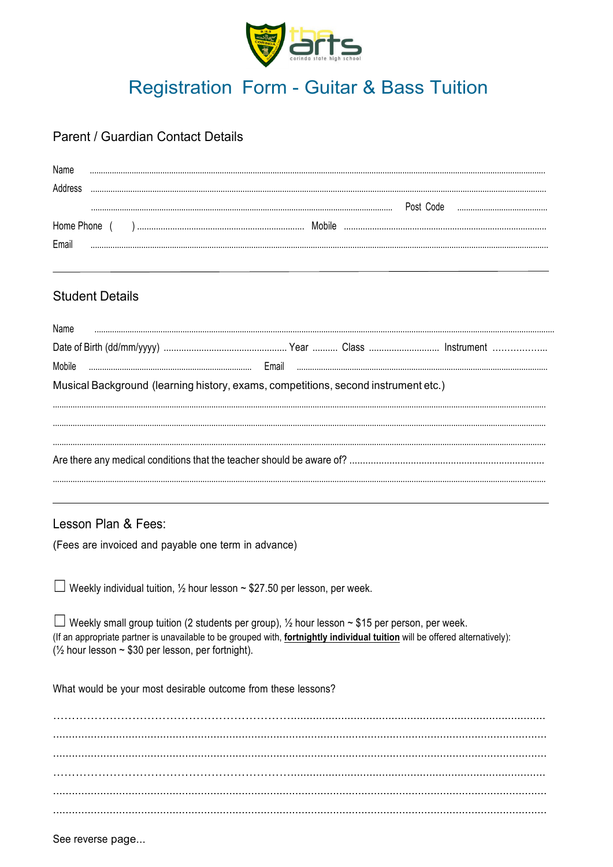

# **Registration Form - Guitar & Bass Tuition**

#### Parent / Guardian Contact Details

| Name   |                        |                                                              |  |                                                               |                                                                                                                                                                                                                                        |  |  |  |
|--------|------------------------|--------------------------------------------------------------|--|---------------------------------------------------------------|----------------------------------------------------------------------------------------------------------------------------------------------------------------------------------------------------------------------------------------|--|--|--|
|        |                        |                                                              |  |                                                               |                                                                                                                                                                                                                                        |  |  |  |
|        |                        |                                                              |  |                                                               |                                                                                                                                                                                                                                        |  |  |  |
|        |                        |                                                              |  |                                                               |                                                                                                                                                                                                                                        |  |  |  |
| Email  |                        |                                                              |  |                                                               |                                                                                                                                                                                                                                        |  |  |  |
|        | <b>Student Details</b> |                                                              |  |                                                               |                                                                                                                                                                                                                                        |  |  |  |
| Name   |                        |                                                              |  |                                                               |                                                                                                                                                                                                                                        |  |  |  |
|        |                        |                                                              |  |                                                               |                                                                                                                                                                                                                                        |  |  |  |
| Mobile |                        |                                                              |  |                                                               |                                                                                                                                                                                                                                        |  |  |  |
|        |                        |                                                              |  |                                                               | Musical Background (learning history, exams, competitions, second instrument etc.)                                                                                                                                                     |  |  |  |
|        |                        |                                                              |  |                                                               |                                                                                                                                                                                                                                        |  |  |  |
|        |                        |                                                              |  |                                                               |                                                                                                                                                                                                                                        |  |  |  |
|        | Lesson Plan & Fees:    | (Fees are invoiced and payable one term in advance)          |  |                                                               |                                                                                                                                                                                                                                        |  |  |  |
|        |                        |                                                              |  |                                                               | □ Weekly individual tuition, $\frac{1}{2}$ hour lesson ~ \$27.50 per lesson, per week.                                                                                                                                                 |  |  |  |
|        |                        | $\frac{1}{2}$ hour lesson ~ \$30 per lesson, per fortnight). |  |                                                               | $\Box$ Weekly small group tuition (2 students per group), 1/2 hour lesson ~ \$15 per person, per week.<br>(If an appropriate partner is unavailable to be grouped with, fortnightly individual tuition will be offered alternatively): |  |  |  |
|        |                        |                                                              |  | What would be your most desirable outcome from these lessons? |                                                                                                                                                                                                                                        |  |  |  |
|        |                        |                                                              |  |                                                               |                                                                                                                                                                                                                                        |  |  |  |
|        |                        |                                                              |  |                                                               |                                                                                                                                                                                                                                        |  |  |  |
|        |                        |                                                              |  |                                                               |                                                                                                                                                                                                                                        |  |  |  |
|        |                        |                                                              |  |                                                               |                                                                                                                                                                                                                                        |  |  |  |
|        |                        |                                                              |  |                                                               |                                                                                                                                                                                                                                        |  |  |  |

See reverse page...